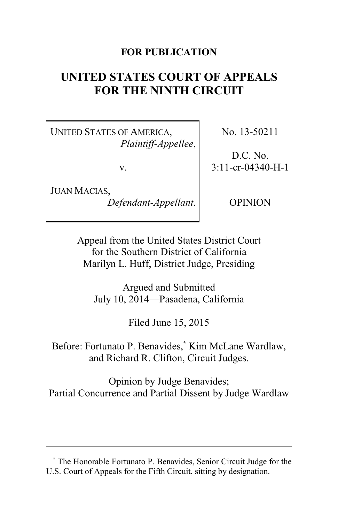# **FOR PUBLICATION**

# **UNITED STATES COURT OF APPEALS FOR THE NINTH CIRCUIT**

UNITED STATES OF AMERICA, *Plaintiff-Appellee*,

v.

JUAN MACIAS, *Defendant-Appellant*. No. 13-50211

D.C. No. 3:11-cr-04340-H-1

OPINION

Appeal from the United States District Court for the Southern District of California Marilyn L. Huff, District Judge, Presiding

Argued and Submitted July 10, 2014—Pasadena, California

Filed June 15, 2015

Before: Fortunato P. Benavides,**\*** Kim McLane Wardlaw, and Richard R. Clifton, Circuit Judges.

Opinion by Judge Benavides; Partial Concurrence and Partial Dissent by Judge Wardlaw

**<sup>\*</sup>** The Honorable Fortunato P. Benavides, Senior Circuit Judge for the U.S. Court of Appeals for the Fifth Circuit, sitting by designation.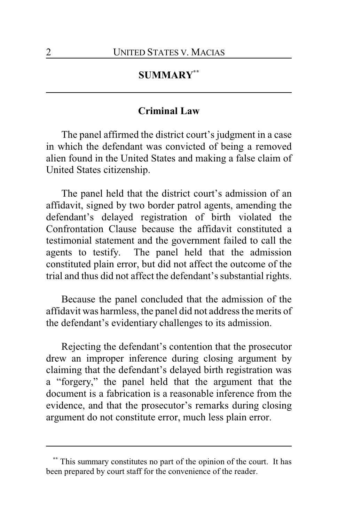# **SUMMARY\*\***

### **Criminal Law**

The panel affirmed the district court's judgment in a case in which the defendant was convicted of being a removed alien found in the United States and making a false claim of United States citizenship.

The panel held that the district court's admission of an affidavit, signed by two border patrol agents, amending the defendant's delayed registration of birth violated the Confrontation Clause because the affidavit constituted a testimonial statement and the government failed to call the agents to testify. The panel held that the admission constituted plain error, but did not affect the outcome of the trial and thus did not affect the defendant's substantial rights.

Because the panel concluded that the admission of the affidavit was harmless, the panel did not address the merits of the defendant's evidentiary challenges to its admission.

Rejecting the defendant's contention that the prosecutor drew an improper inference during closing argument by claiming that the defendant's delayed birth registration was a "forgery," the panel held that the argument that the document is a fabrication is a reasonable inference from the evidence, and that the prosecutor's remarks during closing argument do not constitute error, much less plain error.

This summary constitutes no part of the opinion of the court. It has been prepared by court staff for the convenience of the reader.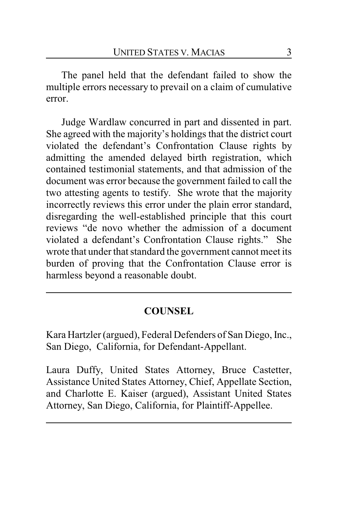The panel held that the defendant failed to show the multiple errors necessary to prevail on a claim of cumulative error.

Judge Wardlaw concurred in part and dissented in part. She agreed with the majority's holdings that the district court violated the defendant's Confrontation Clause rights by admitting the amended delayed birth registration, which contained testimonial statements, and that admission of the document was error because the government failed to call the two attesting agents to testify. She wrote that the majority incorrectly reviews this error under the plain error standard, disregarding the well-established principle that this court reviews "de novo whether the admission of a document violated a defendant's Confrontation Clause rights." She wrote that under that standard the government cannot meet its burden of proving that the Confrontation Clause error is harmless beyond a reasonable doubt.

# **COUNSEL**

Kara Hartzler (argued), Federal Defenders of San Diego, Inc., San Diego, California, for Defendant-Appellant.

Laura Duffy, United States Attorney, Bruce Castetter, Assistance United States Attorney, Chief, Appellate Section, and Charlotte E. Kaiser (argued), Assistant United States Attorney, San Diego, California, for Plaintiff-Appellee.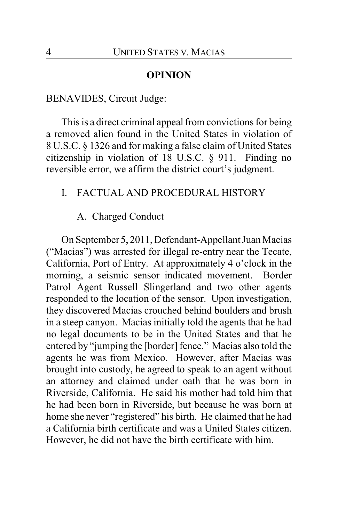### **OPINION**

### BENAVIDES, Circuit Judge:

This is a direct criminal appeal from convictions for being a removed alien found in the United States in violation of 8 U.S.C. § 1326 and for making a false claim of United States citizenship in violation of 18 U.S.C. § 911. Finding no reversible error, we affirm the district court's judgment.

### I. FACTUAL AND PROCEDURAL HISTORY

# A. Charged Conduct

On September 5, 2011, Defendant-Appellant Juan Macias ("Macias") was arrested for illegal re-entry near the Tecate, California, Port of Entry. At approximately 4 o'clock in the morning, a seismic sensor indicated movement. Border Patrol Agent Russell Slingerland and two other agents responded to the location of the sensor. Upon investigation, they discovered Macias crouched behind boulders and brush in a steep canyon. Macias initially told the agents that he had no legal documents to be in the United States and that he entered by "jumping the [border] fence." Macias also told the agents he was from Mexico. However, after Macias was brought into custody, he agreed to speak to an agent without an attorney and claimed under oath that he was born in Riverside, California. He said his mother had told him that he had been born in Riverside, but because he was born at home she never "registered" his birth. He claimed that he had a California birth certificate and was a United States citizen. However, he did not have the birth certificate with him.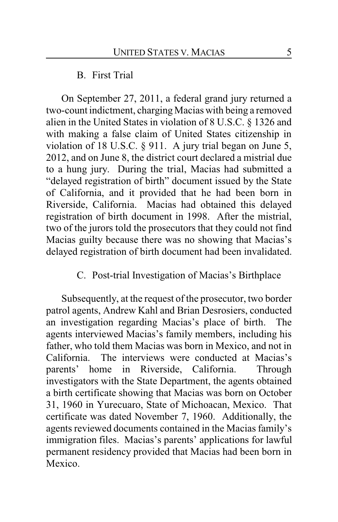### B. First Trial

On September 27, 2011, a federal grand jury returned a two-count indictment, charging Macias with being a removed alien in the United States in violation of 8 U.S.C. § 1326 and with making a false claim of United States citizenship in violation of 18 U.S.C. § 911. A jury trial began on June 5, 2012, and on June 8, the district court declared a mistrial due to a hung jury. During the trial, Macias had submitted a "delayed registration of birth" document issued by the State of California, and it provided that he had been born in Riverside, California. Macias had obtained this delayed registration of birth document in 1998. After the mistrial, two of the jurors told the prosecutors that they could not find Macias guilty because there was no showing that Macias's delayed registration of birth document had been invalidated.

# C. Post-trial Investigation of Macias's Birthplace

Subsequently, at the request of the prosecutor, two border patrol agents, Andrew Kahl and Brian Desrosiers, conducted an investigation regarding Macias's place of birth. The agents interviewed Macias's family members, including his father, who told them Macias was born in Mexico, and not in California. The interviews were conducted at Macias's parents' home in Riverside, California. Through investigators with the State Department, the agents obtained a birth certificate showing that Macias was born on October 31, 1960 in Yurecuaro, State of Michoacan, Mexico. That certificate was dated November 7, 1960. Additionally, the agents reviewed documents contained in the Macias family's immigration files. Macias's parents' applications for lawful permanent residency provided that Macias had been born in Mexico.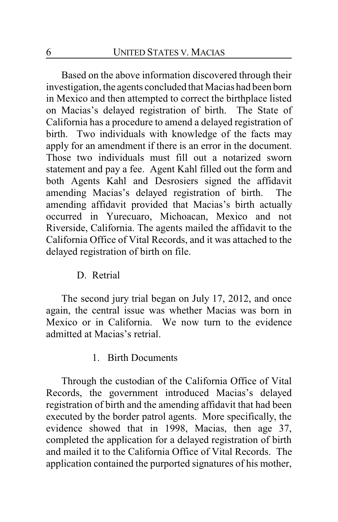Based on the above information discovered through their investigation, the agents concluded that Macias had been born in Mexico and then attempted to correct the birthplace listed on Macias's delayed registration of birth. The State of California has a procedure to amend a delayed registration of birth. Two individuals with knowledge of the facts may apply for an amendment if there is an error in the document. Those two individuals must fill out a notarized sworn statement and pay a fee. Agent Kahl filled out the form and both Agents Kahl and Desrosiers signed the affidavit amending Macias's delayed registration of birth. The amending affidavit provided that Macias's birth actually occurred in Yurecuaro, Michoacan, Mexico and not Riverside, California. The agents mailed the affidavit to the California Office of Vital Records, and it was attached to the delayed registration of birth on file.

### D. Retrial

The second jury trial began on July 17, 2012, and once again, the central issue was whether Macias was born in Mexico or in California. We now turn to the evidence admitted at Macias's retrial.

#### 1. Birth Documents

Through the custodian of the California Office of Vital Records, the government introduced Macias's delayed registration of birth and the amending affidavit that had been executed by the border patrol agents. More specifically, the evidence showed that in 1998, Macias, then age 37, completed the application for a delayed registration of birth and mailed it to the California Office of Vital Records. The application contained the purported signatures of his mother,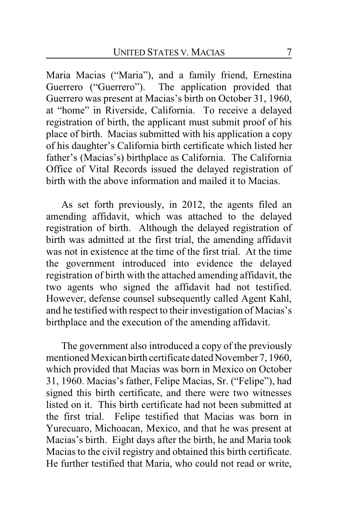Maria Macias ("Maria"), and a family friend, Ernestina Guerrero ("Guerrero"). The application provided that Guerrero was present at Macias's birth on October 31, 1960, at "home" in Riverside, California. To receive a delayed registration of birth, the applicant must submit proof of his place of birth. Macias submitted with his application a copy of his daughter's California birth certificate which listed her father's (Macias's) birthplace as California. The California Office of Vital Records issued the delayed registration of birth with the above information and mailed it to Macias.

As set forth previously, in 2012, the agents filed an amending affidavit, which was attached to the delayed registration of birth. Although the delayed registration of birth was admitted at the first trial, the amending affidavit was not in existence at the time of the first trial. At the time the government introduced into evidence the delayed registration of birth with the attached amending affidavit, the two agents who signed the affidavit had not testified. However, defense counsel subsequently called Agent Kahl, and he testified with respect to their investigation of Macias's birthplace and the execution of the amending affidavit.

The government also introduced a copy of the previously mentioned Mexican birth certificate dated November 7, 1960, which provided that Macias was born in Mexico on October 31, 1960. Macias's father, Felipe Macias, Sr. ("Felipe"), had signed this birth certificate, and there were two witnesses listed on it. This birth certificate had not been submitted at the first trial. Felipe testified that Macias was born in Yurecuaro, Michoacan, Mexico, and that he was present at Macias's birth. Eight days after the birth, he and Maria took Macias to the civil registry and obtained this birth certificate. He further testified that Maria, who could not read or write,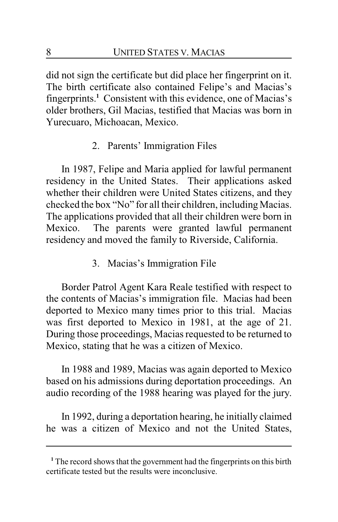did not sign the certificate but did place her fingerprint on it. The birth certificate also contained Felipe's and Macias's fingerprints.**<sup>1</sup>** Consistent with this evidence, one of Macias's older brothers, Gil Macias, testified that Macias was born in Yurecuaro, Michoacan, Mexico.

2. Parents' Immigration Files

In 1987, Felipe and Maria applied for lawful permanent residency in the United States. Their applications asked whether their children were United States citizens, and they checked the box "No" for all their children, including Macias. The applications provided that all their children were born in Mexico. The parents were granted lawful permanent residency and moved the family to Riverside, California.

3. Macias's Immigration File

Border Patrol Agent Kara Reale testified with respect to the contents of Macias's immigration file. Macias had been deported to Mexico many times prior to this trial. Macias was first deported to Mexico in 1981, at the age of 21. During those proceedings, Macias requested to be returned to Mexico, stating that he was a citizen of Mexico.

In 1988 and 1989, Macias was again deported to Mexico based on his admissions during deportation proceedings. An audio recording of the 1988 hearing was played for the jury.

In 1992, during a deportation hearing, he initially claimed he was a citizen of Mexico and not the United States,

**<sup>1</sup>** The record shows that the government had the fingerprints on this birth certificate tested but the results were inconclusive.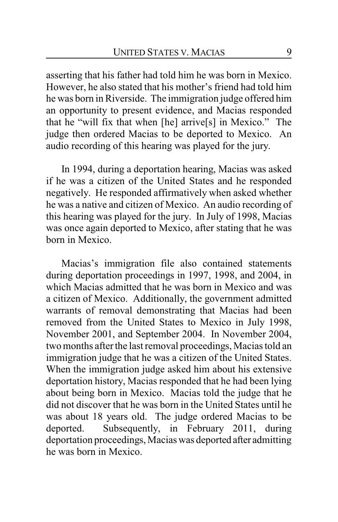asserting that his father had told him he was born in Mexico. However, he also stated that his mother's friend had told him he was born in Riverside. The immigration judge offered him an opportunity to present evidence, and Macias responded that he "will fix that when [he] arrive[s] in Mexico." The judge then ordered Macias to be deported to Mexico. An audio recording of this hearing was played for the jury.

In 1994, during a deportation hearing, Macias was asked if he was a citizen of the United States and he responded negatively. He responded affirmatively when asked whether he was a native and citizen of Mexico. An audio recording of this hearing was played for the jury. In July of 1998, Macias was once again deported to Mexico, after stating that he was born in Mexico.

Macias's immigration file also contained statements during deportation proceedings in 1997, 1998, and 2004, in which Macias admitted that he was born in Mexico and was a citizen of Mexico. Additionally, the government admitted warrants of removal demonstrating that Macias had been removed from the United States to Mexico in July 1998, November 2001, and September 2004. In November 2004, two months after the last removal proceedings, Macias told an immigration judge that he was a citizen of the United States. When the immigration judge asked him about his extensive deportation history, Macias responded that he had been lying about being born in Mexico. Macias told the judge that he did not discover that he was born in the United States until he was about 18 years old. The judge ordered Macias to be deported. Subsequently, in February 2011, during deportation proceedings, Macias was deported after admitting he was born in Mexico.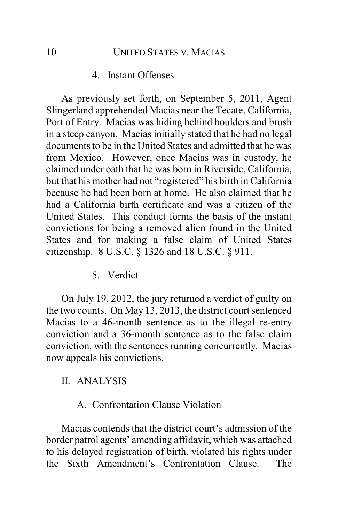#### 4. Instant Offenses

As previously set forth, on September 5, 2011, Agent Slingerland apprehended Macias near the Tecate, California, Port of Entry. Macias was hiding behind boulders and brush in a steep canyon. Macias initially stated that he had no legal documents to be in the United States and admitted that he was from Mexico. However, once Macias was in custody, he claimed under oath that he was born in Riverside, California, but that his mother had not "registered" his birth in California because he had been born at home. He also claimed that he had a California birth certificate and was a citizen of the United States. This conduct forms the basis of the instant convictions for being a removed alien found in the United States and for making a false claim of United States citizenship. 8 U.S.C. § 1326 and 18 U.S.C. § 911.

5. Verdict

On July 19, 2012, the jury returned a verdict of guilty on the two counts. On May 13, 2013, the district court sentenced Macias to a 46-month sentence as to the illegal re-entry conviction and a 36-month sentence as to the false claim conviction, with the sentences running concurrently. Macias now appeals his convictions.

### II. ANALYSIS

### A. Confrontation Clause Violation

Macias contends that the district court's admission of the border patrol agents' amending affidavit, which was attached to his delayed registration of birth, violated his rights under the Sixth Amendment's Confrontation Clause. The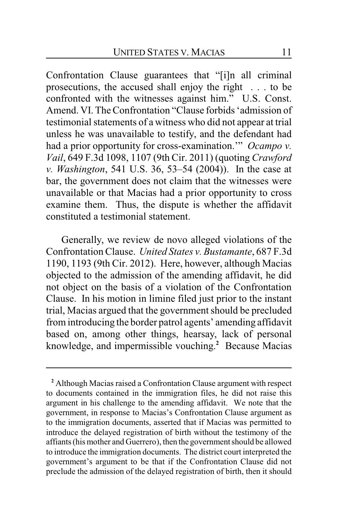Confrontation Clause guarantees that "[i]n all criminal prosecutions, the accused shall enjoy the right . . . to be confronted with the witnesses against him." U.S. Const. Amend. VI. The Confrontation "Clause forbids 'admission of testimonial statements of a witness who did not appear at trial unless he was unavailable to testify, and the defendant had had a prior opportunity for cross-examination.'" *Ocampo v. Vail*, 649 F.3d 1098, 1107 (9th Cir. 2011) (quoting *Crawford v. Washington*, 541 U.S. 36, 53–54 (2004)). In the case at bar, the government does not claim that the witnesses were unavailable or that Macias had a prior opportunity to cross examine them. Thus, the dispute is whether the affidavit constituted a testimonial statement.

Generally, we review de novo alleged violations of the Confrontation Clause. *United States v. Bustamante*, 687 F.3d 1190, 1193 (9th Cir. 2012). Here, however, although Macias objected to the admission of the amending affidavit, he did not object on the basis of a violation of the Confrontation Clause. In his motion in limine filed just prior to the instant trial, Macias argued that the government should be precluded from introducing the border patrol agents' amending affidavit based on, among other things, hearsay, lack of personal knowledge, and impermissible vouching. **<sup>2</sup>** Because Macias

**<sup>2</sup>** Although Macias raised a Confrontation Clause argument with respect to documents contained in the immigration files, he did not raise this argument in his challenge to the amending affidavit. We note that the government, in response to Macias's Confrontation Clause argument as to the immigration documents, asserted that if Macias was permitted to introduce the delayed registration of birth without the testimony of the affiants (his mother and Guerrero), then the government should be allowed to introduce the immigration documents. The district court interpreted the government's argument to be that if the Confrontation Clause did not preclude the admission of the delayed registration of birth, then it should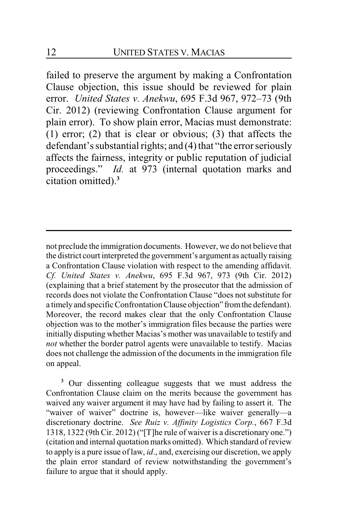failed to preserve the argument by making a Confrontation Clause objection, this issue should be reviewed for plain error. *United States v. Anekwu*, 695 F.3d 967, 972–73 (9th Cir. 2012) (reviewing Confrontation Clause argument for plain error). To show plain error, Macias must demonstrate: (1) error; (2) that is clear or obvious; (3) that affects the defendant's substantial rights; and (4) that "the error seriously affects the fairness, integrity or public reputation of judicial proceedings." *Id.* at 973 (internal quotation marks and citation omitted).**<sup>3</sup>**

not preclude the immigration documents. However, we do not believe that the district court interpreted the government's argument as actually raising a Confrontation Clause violation with respect to the amending affidavit. *Cf. United States v. Anekwu*, 695 F.3d 967, 973 (9th Cir. 2012) (explaining that a brief statement by the prosecutor that the admission of records does not violate the Confrontation Clause "does not substitute for a timely and specific ConfrontationClause objection" fromthe defendant). Moreover, the record makes clear that the only Confrontation Clause objection was to the mother's immigration files because the parties were initially disputing whether Macias's mother was unavailable to testify and *not* whether the border patrol agents were unavailable to testify. Macias does not challenge the admission of the documents in the immigration file on appeal.

**<sup>3</sup>** Our dissenting colleague suggests that we must address the Confrontation Clause claim on the merits because the government has waived any waiver argument it may have had by failing to assert it. The "waiver of waiver" doctrine is, however—like waiver generally—a discretionary doctrine. *See Ruiz v. Affinity Logistics Corp.*, 667 F.3d 1318, 1322 (9th Cir. 2012) ("[T]he rule of waiver is a discretionary one.") (citation and internal quotation marks omitted). Which standard ofreview to apply is a pure issue of law, *id*., and, exercising our discretion, we apply the plain error standard of review notwithstanding the government's failure to argue that it should apply.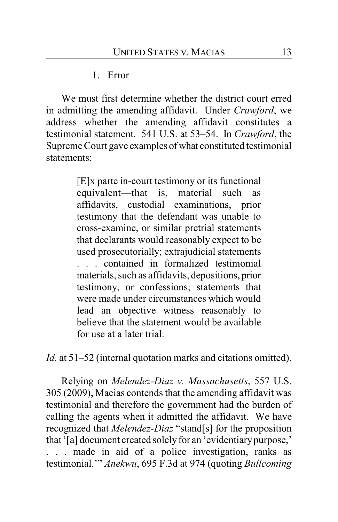1. Error

We must first determine whether the district court erred in admitting the amending affidavit. Under *Crawford*, we address whether the amending affidavit constitutes a testimonial statement. 541 U.S. at 53–54. In *Crawford*, the Supreme Court gave examples of what constituted testimonial statements:

> [E]x parte in-court testimony or its functional equivalent—that is, material such as affidavits, custodial examinations, prior testimony that the defendant was unable to cross-examine, or similar pretrial statements that declarants would reasonably expect to be used prosecutorially; extrajudicial statements . . . contained in formalized testimonial materials, such as affidavits, depositions, prior testimony, or confessions; statements that were made under circumstances which would lead an objective witness reasonably to believe that the statement would be available for use at a later trial.

*Id.* at 51–52 (internal quotation marks and citations omitted).

Relying on *Melendez-Diaz v. Massachusetts*, 557 U.S. 305 (2009), Macias contends that the amending affidavit was testimonial and therefore the government had the burden of calling the agents when it admitted the affidavit. We have recognized that *Melendez-Diaz* "stand[s] for the proposition that '[a] document created solely for an 'evidentiarypurpose,' . . . made in aid of a police investigation, ranks as testimonial.'" *Anekwu*, 695 F.3d at 974 (quoting *Bullcoming*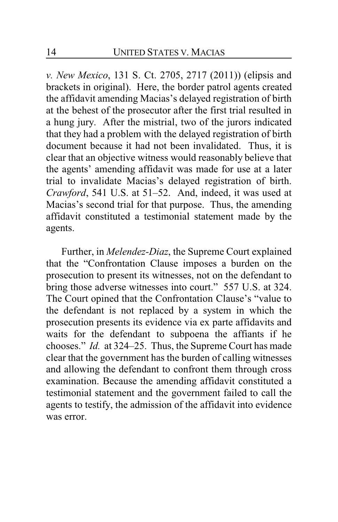*v. New Mexico*, 131 S. Ct. 2705, 2717 (2011)) (elipsis and brackets in original). Here, the border patrol agents created the affidavit amending Macias's delayed registration of birth at the behest of the prosecutor after the first trial resulted in a hung jury. After the mistrial, two of the jurors indicated that they had a problem with the delayed registration of birth document because it had not been invalidated. Thus, it is clear that an objective witness would reasonably believe that the agents' amending affidavit was made for use at a later trial to invalidate Macias's delayed registration of birth. *Crawford*, 541 U.S. at 51–52. And, indeed, it was used at Macias's second trial for that purpose. Thus, the amending affidavit constituted a testimonial statement made by the agents.

Further, in *Melendez-Diaz*, the Supreme Court explained that the "Confrontation Clause imposes a burden on the prosecution to present its witnesses, not on the defendant to bring those adverse witnesses into court." 557 U.S. at 324. The Court opined that the Confrontation Clause's "value to the defendant is not replaced by a system in which the prosecution presents its evidence via ex parte affidavits and waits for the defendant to subpoena the affiants if he chooses." *Id.* at 324–25. Thus, the Supreme Court has made clear that the government has the burden of calling witnesses and allowing the defendant to confront them through cross examination. Because the amending affidavit constituted a testimonial statement and the government failed to call the agents to testify, the admission of the affidavit into evidence was error.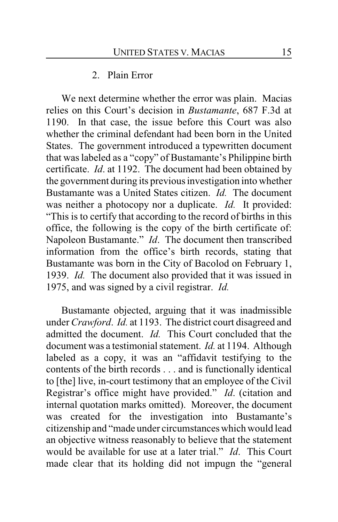### 2. Plain Error

We next determine whether the error was plain. Macias relies on this Court's decision in *Bustamante*, 687 F.3d at 1190. In that case, the issue before this Court was also whether the criminal defendant had been born in the United States. The government introduced a typewritten document that was labeled as a "copy" of Bustamante's Philippine birth certificate. *Id*. at 1192. The document had been obtained by the government during its previous investigation into whether Bustamante was a United States citizen. *Id.* The document was neither a photocopy nor a duplicate. *Id.* It provided: "This is to certify that according to the record of births in this office, the following is the copy of the birth certificate of: Napoleon Bustamante." *Id*. The document then transcribed information from the office's birth records, stating that Bustamante was born in the City of Bacolod on February 1, 1939. *Id.* The document also provided that it was issued in 1975, and was signed by a civil registrar. *Id.*

Bustamante objected, arguing that it was inadmissible under *Crawford*. *Id.* at 1193. The district court disagreed and admitted the document. *Id.* This Court concluded that the document was a testimonial statement. *Id.* at 1194. Although labeled as a copy, it was an "affidavit testifying to the contents of the birth records . . . and is functionally identical to [the] live, in-court testimony that an employee of the Civil Registrar's office might have provided." *Id*. (citation and internal quotation marks omitted). Moreover, the document was created for the investigation into Bustamante's citizenship and "made under circumstances which would lead an objective witness reasonably to believe that the statement would be available for use at a later trial." *Id*. This Court made clear that its holding did not impugn the "general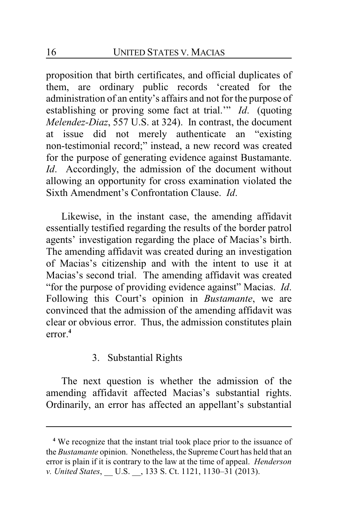proposition that birth certificates, and official duplicates of them, are ordinary public records 'created for the administration of an entity's affairs and not for the purpose of establishing or proving some fact at trial.'" *Id*. (quoting *Melendez-Diaz*, 557 U.S. at 324). In contrast, the document at issue did not merely authenticate an "existing non-testimonial record;" instead, a new record was created for the purpose of generating evidence against Bustamante. *Id*. Accordingly, the admission of the document without allowing an opportunity for cross examination violated the Sixth Amendment's Confrontation Clause. *Id*.

Likewise, in the instant case, the amending affidavit essentially testified regarding the results of the border patrol agents' investigation regarding the place of Macias's birth. The amending affidavit was created during an investigation of Macias's citizenship and with the intent to use it at Macias's second trial. The amending affidavit was created "for the purpose of providing evidence against" Macias. *Id*. Following this Court's opinion in *Bustamante*, we are convinced that the admission of the amending affidavit was clear or obvious error. Thus, the admission constitutes plain error.**<sup>4</sup>**

# 3. Substantial Rights

The next question is whether the admission of the amending affidavit affected Macias's substantial rights. Ordinarily, an error has affected an appellant's substantial

**<sup>4</sup>** We recognize that the instant trial took place prior to the issuance of the *Bustamante* opinion. Nonetheless, the Supreme Court has held that an error is plain if it is contrary to the law at the time of appeal. *Henderson v. United States, U.S.* , 133 S. Ct. 1121, 1130–31 (2013).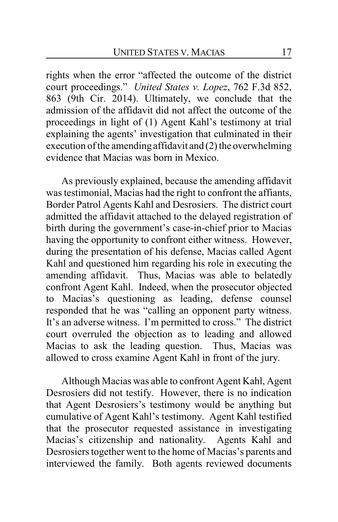rights when the error "affected the outcome of the district court proceedings." *United States v. Lopez*, 762 F.3d 852, 863 (9th Cir. 2014). Ultimately, we conclude that the admission of the affidavit did not affect the outcome of the proceedings in light of (1) Agent Kahl's testimony at trial explaining the agents' investigation that culminated in their execution of the amending affidavit and (2) the overwhelming evidence that Macias was born in Mexico.

As previously explained, because the amending affidavit was testimonial, Macias had the right to confront the affiants, Border Patrol Agents Kahl and Desrosiers. The district court admitted the affidavit attached to the delayed registration of birth during the government's case-in-chief prior to Macias having the opportunity to confront either witness. However, during the presentation of his defense, Macias called Agent Kahl and questioned him regarding his role in executing the amending affidavit. Thus, Macias was able to belatedly confront Agent Kahl. Indeed, when the prosecutor objected to Macias's questioning as leading, defense counsel responded that he was "calling an opponent party witness. It's an adverse witness. I'm permitted to cross." The district court overruled the objection as to leading and allowed Macias to ask the leading question. Thus, Macias was allowed to cross examine Agent Kahl in front of the jury.

Although Macias was able to confront Agent Kahl, Agent Desrosiers did not testify. However, there is no indication that Agent Desrosiers's testimony would be anything but cumulative of Agent Kahl's testimony. Agent Kahl testified that the prosecutor requested assistance in investigating Macias's citizenship and nationality. Agents Kahl and Desrosiers together went to the home of Macias's parents and interviewed the family. Both agents reviewed documents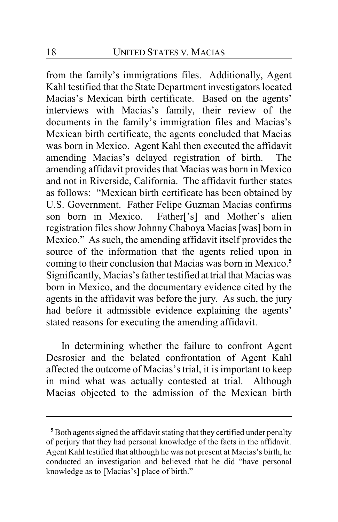from the family's immigrations files. Additionally, Agent Kahl testified that the State Department investigators located Macias's Mexican birth certificate. Based on the agents' interviews with Macias's family, their review of the documents in the family's immigration files and Macias's Mexican birth certificate, the agents concluded that Macias was born in Mexico. Agent Kahl then executed the affidavit amending Macias's delayed registration of birth. The amending affidavit provides that Macias was born in Mexico and not in Riverside, California. The affidavit further states as follows: "Mexican birth certificate has been obtained by U.S. Government. Father Felipe Guzman Macias confirms son born in Mexico. Father['s] and Mother's alien registration files show JohnnyChaboya Macias [was] born in Mexico." As such, the amending affidavit itself provides the source of the information that the agents relied upon in coming to their conclusion that Macias was born in Mexico.**<sup>5</sup>** Significantly, Macias's father testified at trial that Macias was born in Mexico, and the documentary evidence cited by the agents in the affidavit was before the jury. As such, the jury had before it admissible evidence explaining the agents' stated reasons for executing the amending affidavit.

In determining whether the failure to confront Agent Desrosier and the belated confrontation of Agent Kahl affected the outcome of Macias's trial, it is important to keep in mind what was actually contested at trial. Although Macias objected to the admission of the Mexican birth

**<sup>5</sup>** Both agents signed the affidavit stating that they certified under penalty of perjury that they had personal knowledge of the facts in the affidavit. Agent Kahl testified that although he was not present at Macias's birth, he conducted an investigation and believed that he did "have personal knowledge as to [Macias's] place of birth."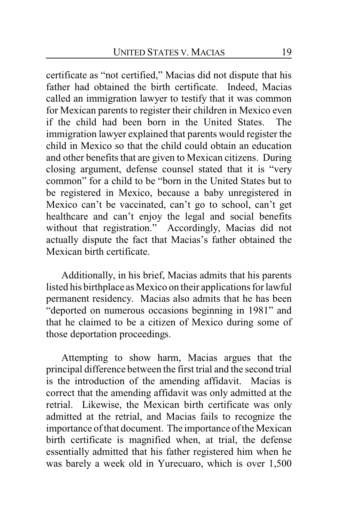certificate as "not certified," Macias did not dispute that his father had obtained the birth certificate. Indeed, Macias called an immigration lawyer to testify that it was common for Mexican parents to register their children in Mexico even if the child had been born in the United States. The immigration lawyer explained that parents would register the child in Mexico so that the child could obtain an education and other benefits that are given to Mexican citizens. During closing argument, defense counsel stated that it is "very common" for a child to be "born in the United States but to be registered in Mexico, because a baby unregistered in Mexico can't be vaccinated, can't go to school, can't get healthcare and can't enjoy the legal and social benefits without that registration." Accordingly, Macias did not actually dispute the fact that Macias's father obtained the Mexican birth certificate.

Additionally, in his brief, Macias admits that his parents listed his birthplace as Mexico on their applications for lawful permanent residency. Macias also admits that he has been "deported on numerous occasions beginning in 1981" and that he claimed to be a citizen of Mexico during some of those deportation proceedings.

Attempting to show harm, Macias argues that the principal difference between the first trial and the second trial is the introduction of the amending affidavit. Macias is correct that the amending affidavit was only admitted at the retrial. Likewise, the Mexican birth certificate was only admitted at the retrial, and Macias fails to recognize the importance of that document. The importance of the Mexican birth certificate is magnified when, at trial, the defense essentially admitted that his father registered him when he was barely a week old in Yurecuaro, which is over 1,500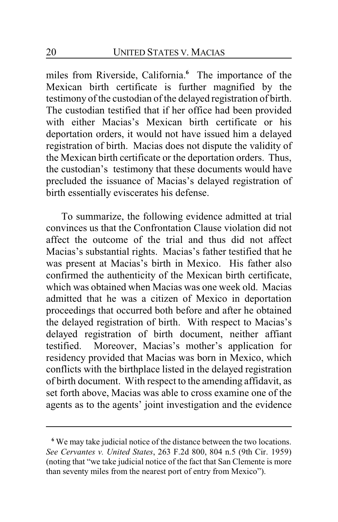miles from Riverside, California.**<sup>6</sup>** The importance of the Mexican birth certificate is further magnified by the testimony of the custodian of the delayed registration of birth. The custodian testified that if her office had been provided with either Macias's Mexican birth certificate or his deportation orders, it would not have issued him a delayed registration of birth. Macias does not dispute the validity of the Mexican birth certificate or the deportation orders. Thus, the custodian's testimony that these documents would have precluded the issuance of Macias's delayed registration of birth essentially eviscerates his defense.

To summarize, the following evidence admitted at trial convinces us that the Confrontation Clause violation did not affect the outcome of the trial and thus did not affect Macias's substantial rights. Macias's father testified that he was present at Macias's birth in Mexico. His father also confirmed the authenticity of the Mexican birth certificate, which was obtained when Macias was one week old. Macias admitted that he was a citizen of Mexico in deportation proceedings that occurred both before and after he obtained the delayed registration of birth. With respect to Macias's delayed registration of birth document, neither affiant testified. Moreover, Macias's mother's application for residency provided that Macias was born in Mexico, which conflicts with the birthplace listed in the delayed registration of birth document. With respect to the amending affidavit, as set forth above, Macias was able to cross examine one of the agents as to the agents' joint investigation and the evidence

**<sup>6</sup>** We may take judicial notice of the distance between the two locations. *See Cervantes v. United States*, 263 F.2d 800, 804 n.5 (9th Cir. 1959) (noting that "we take judicial notice of the fact that San Clemente is more than seventy miles from the nearest port of entry from Mexico").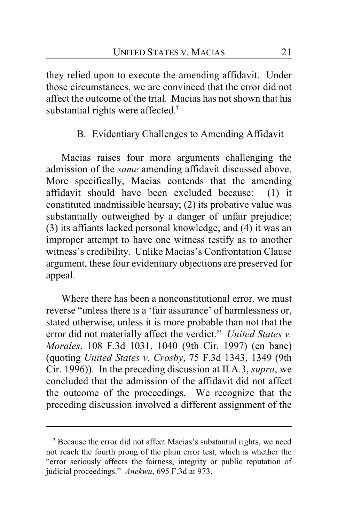they relied upon to execute the amending affidavit. Under those circumstances, we are convinced that the error did not affect the outcome of the trial. Macias has not shown that his substantial rights were affected.**<sup>7</sup>**

# B. Evidentiary Challenges to Amending Affidavit

Macias raises four more arguments challenging the admission of the *same* amending affidavit discussed above. More specifically, Macias contends that the amending affidavit should have been excluded because: (1) it constituted inadmissible hearsay; (2) its probative value was substantially outweighed by a danger of unfair prejudice; (3) its affiants lacked personal knowledge; and (4) it was an improper attempt to have one witness testify as to another witness's credibility. Unlike Macias's Confrontation Clause argument, these four evidentiary objections are preserved for appeal.

Where there has been a nonconstitutional error, we must reverse "unless there is a 'fair assurance' of harmlessness or, stated otherwise, unless it is more probable than not that the error did not materially affect the verdict." *United States v. Morales*, 108 F.3d 1031, 1040 (9th Cir. 1997) (en banc) (quoting *United States v. Crosby*, 75 F.3d 1343, 1349 (9th Cir. 1996)). In the preceding discussion at II.A.3, *supra*, we concluded that the admission of the affidavit did not affect the outcome of the proceedings. We recognize that the preceding discussion involved a different assignment of the

**<sup>7</sup>** Because the error did not affect Macias's substantial rights, we need not reach the fourth prong of the plain error test, which is whether the "error seriously affects the fairness, integrity or public reputation of judicial proceedings." *Anekwu*, 695 F.3d at 973.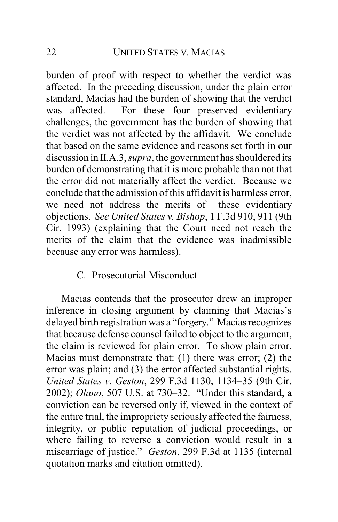burden of proof with respect to whether the verdict was affected. In the preceding discussion, under the plain error standard, Macias had the burden of showing that the verdict was affected. For these four preserved evidentiary challenges, the government has the burden of showing that the verdict was not affected by the affidavit. We conclude that based on the same evidence and reasons set forth in our discussion in II.A.3, *supra*, the government has shouldered its burden of demonstrating that it is more probable than not that the error did not materially affect the verdict. Because we conclude that the admission of this affidavit is harmless error, we need not address the merits of these evidentiary objections. *See United States v. Bishop*, 1 F.3d 910, 911 (9th Cir. 1993) (explaining that the Court need not reach the merits of the claim that the evidence was inadmissible because any error was harmless).

# C. Prosecutorial Misconduct

Macias contends that the prosecutor drew an improper inference in closing argument by claiming that Macias's delayed birth registration was a "forgery." Macias recognizes that because defense counsel failed to object to the argument, the claim is reviewed for plain error. To show plain error, Macias must demonstrate that: (1) there was error; (2) the error was plain; and (3) the error affected substantial rights. *United States v. Geston*, 299 F.3d 1130, 1134–35 (9th Cir. 2002); *Olano*, 507 U.S. at 730–32. "Under this standard, a conviction can be reversed only if, viewed in the context of the entire trial, the impropriety seriously affected the fairness, integrity, or public reputation of judicial proceedings, or where failing to reverse a conviction would result in a miscarriage of justice." *Geston*, 299 F.3d at 1135 (internal quotation marks and citation omitted).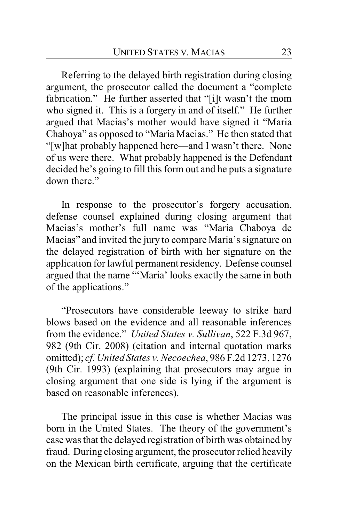Referring to the delayed birth registration during closing argument, the prosecutor called the document a "complete fabrication." He further asserted that "[i]t wasn't the mom who signed it. This is a forgery in and of itself." He further argued that Macias's mother would have signed it "Maria Chaboya" as opposed to "Maria Macias." He then stated that "[w]hat probably happened here—and I wasn't there. None of us were there. What probably happened is the Defendant decided he's going to fill this form out and he puts a signature down there."

In response to the prosecutor's forgery accusation, defense counsel explained during closing argument that Macias's mother's full name was "Maria Chaboya de Macias" and invited the jury to compare Maria's signature on the delayed registration of birth with her signature on the application for lawful permanent residency. Defense counsel argued that the name "'Maria' looks exactly the same in both of the applications."

"Prosecutors have considerable leeway to strike hard blows based on the evidence and all reasonable inferences from the evidence." *United States v. Sullivan*, 522 F.3d 967, 982 (9th Cir. 2008) (citation and internal quotation marks omitted); *cf. United States v. Necoechea*, 986 F.2d 1273, 1276 (9th Cir. 1993) (explaining that prosecutors may argue in closing argument that one side is lying if the argument is based on reasonable inferences).

The principal issue in this case is whether Macias was born in the United States. The theory of the government's case was that the delayed registration of birth was obtained by fraud. During closing argument, the prosecutor relied heavily on the Mexican birth certificate, arguing that the certificate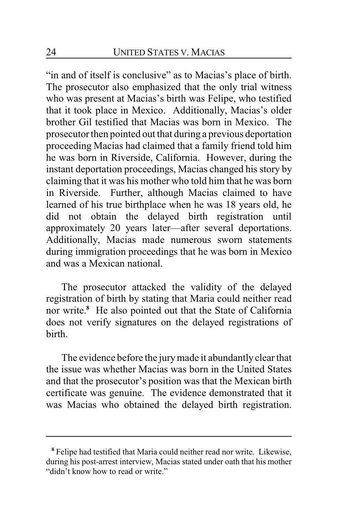"in and of itself is conclusive" as to Macias's place of birth. The prosecutor also emphasized that the only trial witness who was present at Macias's birth was Felipe, who testified that it took place in Mexico. Additionally, Macias's older brother Gil testified that Macias was born in Mexico. The prosecutor then pointed out that during a previous deportation proceeding Macias had claimed that a family friend told him he was born in Riverside, California. However, during the instant deportation proceedings, Macias changed his story by claiming that it was his mother who told him that he was born in Riverside. Further, although Macias claimed to have learned of his true birthplace when he was 18 years old, he did not obtain the delayed birth registration until approximately 20 years later—after several deportations. Additionally, Macias made numerous sworn statements during immigration proceedings that he was born in Mexico and was a Mexican national.

The prosecutor attacked the validity of the delayed registration of birth by stating that Maria could neither read nor write.**<sup>8</sup>** He also pointed out that the State of California does not verify signatures on the delayed registrations of birth.

The evidence before the jurymade it abundantly clear that the issue was whether Macias was born in the United States and that the prosecutor's position was that the Mexican birth certificate was genuine. The evidence demonstrated that it was Macias who obtained the delayed birth registration.

**<sup>8</sup>** Felipe had testified that Maria could neither read nor write. Likewise, during his post-arrest interview, Macias stated under oath that his mother "didn't know how to read or write."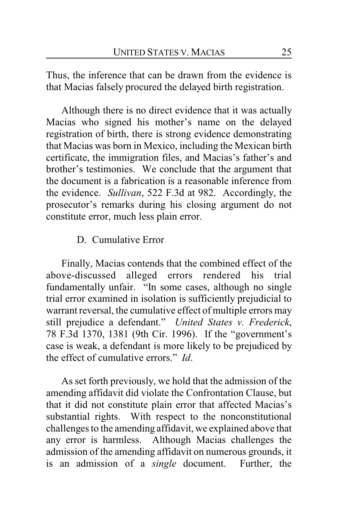Thus, the inference that can be drawn from the evidence is that Macias falsely procured the delayed birth registration.

Although there is no direct evidence that it was actually Macias who signed his mother's name on the delayed registration of birth, there is strong evidence demonstrating that Macias was born in Mexico, including the Mexican birth certificate, the immigration files, and Macias's father's and brother's testimonies. We conclude that the argument that the document is a fabrication is a reasonable inference from the evidence. *Sullivan*, 522 F.3d at 982. Accordingly, the prosecutor's remarks during his closing argument do not constitute error, much less plain error.

# D. Cumulative Error

Finally, Macias contends that the combined effect of the above-discussed alleged errors rendered his trial fundamentally unfair. "In some cases, although no single trial error examined in isolation is sufficiently prejudicial to warrant reversal, the cumulative effect of multiple errors may still prejudice a defendant." *United States v. Frederick*, 78 F.3d 1370, 1381 (9th Cir. 1996). If the "government's case is weak, a defendant is more likely to be prejudiced by the effect of cumulative errors." *Id*.

As set forth previously, we hold that the admission of the amending affidavit did violate the Confrontation Clause, but that it did not constitute plain error that affected Macias's substantial rights. With respect to the nonconstitutional challenges to the amending affidavit, we explained above that any error is harmless. Although Macias challenges the admission of the amending affidavit on numerous grounds, it is an admission of a *single* document. Further, the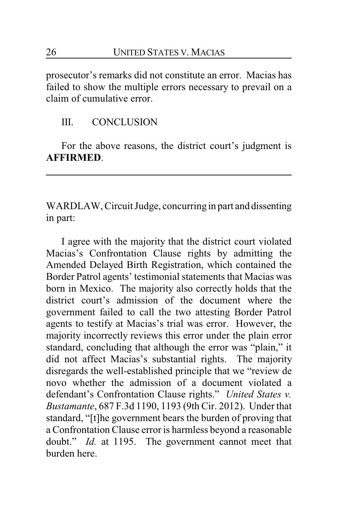prosecutor's remarks did not constitute an error. Macias has failed to show the multiple errors necessary to prevail on a claim of cumulative error.

# III. CONCLUSION

For the above reasons, the district court's judgment is **AFFIRMED**.

WARDLAW, Circuit Judge, concurring in part and dissenting in part:

I agree with the majority that the district court violated Macias's Confrontation Clause rights by admitting the Amended Delayed Birth Registration, which contained the Border Patrol agents' testimonial statements that Macias was born in Mexico. The majority also correctly holds that the district court's admission of the document where the government failed to call the two attesting Border Patrol agents to testify at Macias's trial was error. However, the majority incorrectly reviews this error under the plain error standard, concluding that although the error was "plain," it did not affect Macias's substantial rights. The majority disregards the well-established principle that we "review de novo whether the admission of a document violated a defendant's Confrontation Clause rights." *United States v. Bustamante*, 687 F.3d 1190, 1193 (9th Cir. 2012). Under that standard, "[t]he government bears the burden of proving that a Confrontation Clause error is harmless beyond a reasonable doubt." *Id.* at 1195. The government cannot meet that burden here.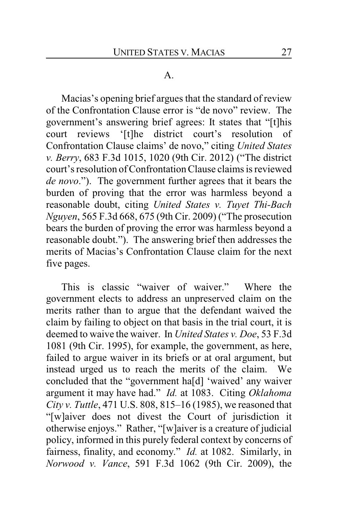#### A.

Macias's opening brief argues that the standard of review of the Confrontation Clause error is "de novo" review. The government's answering brief agrees: It states that "[t]his court reviews '[t]he district court's resolution of Confrontation Clause claims' de novo," citing *United States v. Berry*, 683 F.3d 1015, 1020 (9th Cir. 2012) ("The district court's resolution of Confrontation Clause claims is reviewed *de novo*."). The government further agrees that it bears the burden of proving that the error was harmless beyond a reasonable doubt, citing *United States v. Tuyet Thi-Bach Nguyen*, 565 F.3d 668, 675 (9th Cir. 2009) ("The prosecution bears the burden of proving the error was harmless beyond a reasonable doubt."). The answering brief then addresses the merits of Macias's Confrontation Clause claim for the next five pages.

This is classic "waiver of waiver." Where the government elects to address an unpreserved claim on the merits rather than to argue that the defendant waived the claim by failing to object on that basis in the trial court, it is deemed to waive the waiver. In *United States v. Doe*, 53 F.3d 1081 (9th Cir. 1995), for example, the government, as here, failed to argue waiver in its briefs or at oral argument, but instead urged us to reach the merits of the claim. We concluded that the "government ha[d] 'waived' any waiver argument it may have had." *Id.* at 1083. Citing *Oklahoma City v. Tuttle*, 471 U.S. 808, 815–16 (1985), we reasoned that "[w]aiver does not divest the Court of jurisdiction it otherwise enjoys." Rather, "[w]aiver is a creature of judicial policy, informed in this purely federal context by concerns of fairness, finality, and economy." *Id.* at 1082. Similarly, in *Norwood v. Vance*, 591 F.3d 1062 (9th Cir. 2009), the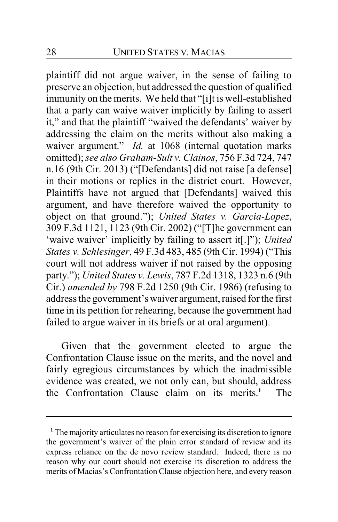plaintiff did not argue waiver, in the sense of failing to preserve an objection, but addressed the question of qualified immunity on the merits. We held that "[i]t is well-established that a party can waive waiver implicitly by failing to assert it," and that the plaintiff "waived the defendants' waiver by addressing the claim on the merits without also making a waiver argument." *Id.* at 1068 (internal quotation marks omitted); *see also Graham-Sult v. Clainos*, 756 F.3d 724, 747 n.16 (9th Cir. 2013) ("[Defendants] did not raise [a defense] in their motions or replies in the district court. However, Plaintiffs have not argued that [Defendants] waived this argument, and have therefore waived the opportunity to object on that ground."); *United States v. Garcia-Lopez*, 309 F.3d 1121, 1123 (9th Cir. 2002) ("[T]he government can 'waive waiver' implicitly by failing to assert it[.]"); *United States v. Schlesinger*, 49 F.3d 483, 485 (9th Cir. 1994) ("This court will not address waiver if not raised by the opposing party."); *United States v. Lewis*, 787 F.2d 1318, 1323 n.6 (9th Cir.) *amended by* 798 F.2d 1250 (9th Cir. 1986) (refusing to address the government's waiver argument, raised for the first time in its petition for rehearing, because the government had failed to argue waiver in its briefs or at oral argument).

Given that the government elected to argue the Confrontation Clause issue on the merits, and the novel and fairly egregious circumstances by which the inadmissible evidence was created, we not only can, but should, address the Confrontation Clause claim on its merits.**<sup>1</sup>** The

**<sup>1</sup>** The majority articulates no reason for exercising its discretion to ignore the government's waiver of the plain error standard of review and its express reliance on the de novo review standard. Indeed, there is no reason why our court should not exercise its discretion to address the merits of Macias's Confrontation Clause objection here, and every reason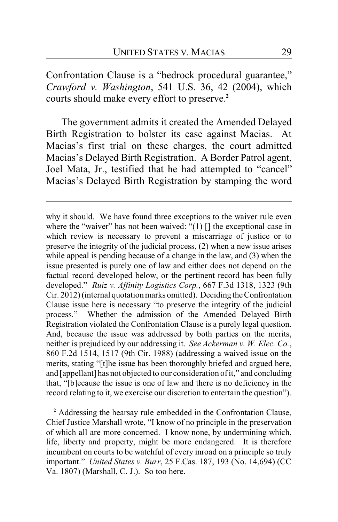Confrontation Clause is a "bedrock procedural guarantee," *Crawford v. Washington*, 541 U.S. 36, 42 (2004), which courts should make every effort to preserve.**<sup>2</sup>**

The government admits it created the Amended Delayed Birth Registration to bolster its case against Macias. At Macias's first trial on these charges, the court admitted Macias's Delayed Birth Registration. A Border Patrol agent, Joel Mata, Jr., testified that he had attempted to "cancel" Macias's Delayed Birth Registration by stamping the word

**<sup>2</sup>** Addressing the hearsay rule embedded in the Confrontation Clause, Chief Justice Marshall wrote, "I know of no principle in the preservation of which all are more concerned. I know none, by undermining which, life, liberty and property, might be more endangered. It is therefore incumbent on courts to be watchful of every inroad on a principle so truly important." *United States v. Burr*, 25 F.Cas. 187, 193 (No. 14,694) (CC Va. 1807) (Marshall, C. J.). So too here.

why it should. We have found three exceptions to the waiver rule even where the "waiver" has not been waived: " $(1)$  [] the exceptional case in which review is necessary to prevent a miscarriage of justice or to preserve the integrity of the judicial process, (2) when a new issue arises while appeal is pending because of a change in the law, and (3) when the issue presented is purely one of law and either does not depend on the factual record developed below, or the pertinent record has been fully developed." *Ruiz v. Affinity Logistics Corp.*, 667 F.3d 1318, 1323 (9th Cir. 2012) (internal quotation marks omitted). Deciding the Confrontation Clause issue here is necessary "to preserve the integrity of the judicial process." Whether the admission of the Amended Delayed Birth Registration violated the Confrontation Clause is a purely legal question. And, because the issue was addressed by both parties on the merits, neither is prejudiced by our addressing it. *See Ackerman v. W. Elec. Co.*, 860 F.2d 1514, 1517 (9th Cir. 1988) (addressing a waived issue on the merits, stating "[t]he issue has been thoroughly briefed and argued here, and [appellant] has not objected to our consideration ofit," and concluding that, "[b]ecause the issue is one of law and there is no deficiency in the record relating to it, we exercise our discretion to entertain the question").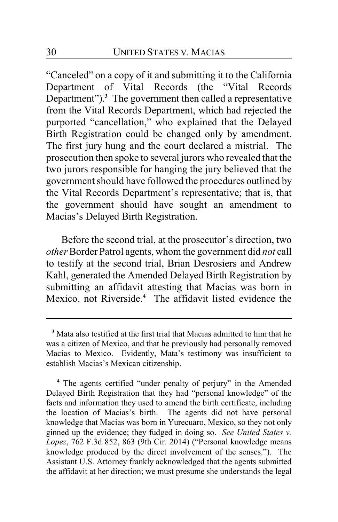"Canceled" on a copy of it and submitting it to the California Department of Vital Records (the "Vital Records Department").**<sup>3</sup>** The government then called a representative from the Vital Records Department, which had rejected the purported "cancellation," who explained that the Delayed Birth Registration could be changed only by amendment. The first jury hung and the court declared a mistrial. The prosecution then spoke to several jurors who revealed that the two jurors responsible for hanging the jury believed that the government should have followed the procedures outlined by the Vital Records Department's representative; that is, that the government should have sought an amendment to Macias's Delayed Birth Registration.

Before the second trial, at the prosecutor's direction, two *other*Border Patrol agents, whom the government did *not* call to testify at the second trial, Brian Desrosiers and Andrew Kahl, generated the Amended Delayed Birth Registration by submitting an affidavit attesting that Macias was born in Mexico, not Riverside.**<sup>4</sup>** The affidavit listed evidence the

**<sup>3</sup>** Mata also testified at the first trial that Macias admitted to him that he was a citizen of Mexico, and that he previously had personally removed Macias to Mexico. Evidently, Mata's testimony was insufficient to establish Macias's Mexican citizenship.

**<sup>4</sup>** The agents certified "under penalty of perjury" in the Amended Delayed Birth Registration that they had "personal knowledge" of the facts and information they used to amend the birth certificate, including the location of Macias's birth. The agents did not have personal knowledge that Macias was born in Yurecuaro, Mexico, so they not only ginned up the evidence; they fudged in doing so. *See United States v. Lopez*, 762 F.3d 852, 863 (9th Cir. 2014) ("Personal knowledge means knowledge produced by the direct involvement of the senses."). The Assistant U.S. Attorney frankly acknowledged that the agents submitted the affidavit at her direction; we must presume she understands the legal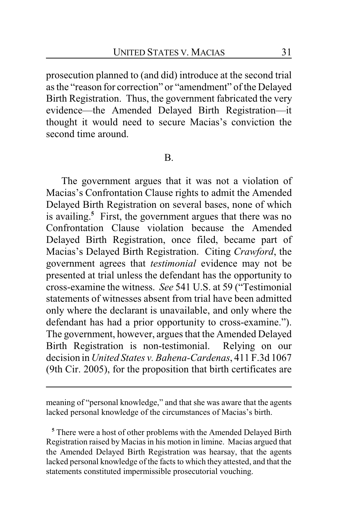prosecution planned to (and did) introduce at the second trial as the "reason for correction" or "amendment" of the Delayed Birth Registration. Thus, the government fabricated the very evidence—the Amended Delayed Birth Registration—it thought it would need to secure Macias's conviction the second time around.

#### B.

The government argues that it was not a violation of Macias's Confrontation Clause rights to admit the Amended Delayed Birth Registration on several bases, none of which is availing. **<sup>5</sup>** First, the government argues that there was no Confrontation Clause violation because the Amended Delayed Birth Registration, once filed, became part of Macias's Delayed Birth Registration. Citing *Crawford*, the government agrees that *testimonial* evidence may not be presented at trial unless the defendant has the opportunity to cross-examine the witness. *See* 541 U.S. at 59 ("Testimonial statements of witnesses absent from trial have been admitted only where the declarant is unavailable, and only where the defendant has had a prior opportunity to cross-examine."). The government, however, argues that the Amended Delayed Birth Registration is non-testimonial. Relying on our decision in *United States v. Bahena-Cardenas*, 411 F.3d 1067 (9th Cir. 2005), for the proposition that birth certificates are

meaning of "personal knowledge," and that she was aware that the agents lacked personal knowledge of the circumstances of Macias's birth.

**<sup>5</sup>** There were a host of other problems with the Amended Delayed Birth Registration raised by Macias in his motion in limine. Macias argued that the Amended Delayed Birth Registration was hearsay, that the agents lacked personal knowledge of the facts to which they attested, and that the statements constituted impermissible prosecutorial vouching.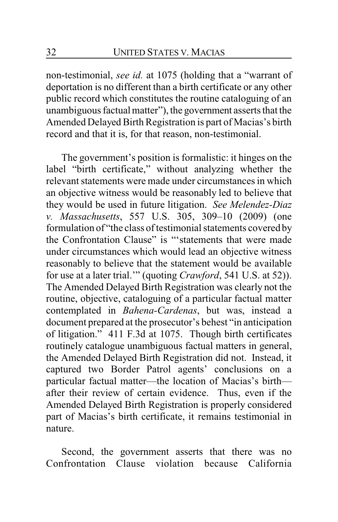non-testimonial, *see id.* at 1075 (holding that a "warrant of deportation is no different than a birth certificate or any other public record which constitutes the routine cataloguing of an unambiguous factual matter"), the government asserts that the Amended Delayed Birth Registration is part of Macias's birth record and that it is, for that reason, non-testimonial.

The government's position is formalistic: it hinges on the label "birth certificate," without analyzing whether the relevant statements were made under circumstances in which an objective witness would be reasonably led to believe that they would be used in future litigation. *See Melendez-Diaz v. Massachusetts*, 557 U.S. 305, 309–10 (2009) (one formulation of "the class of testimonial statements covered by the Confrontation Clause" is "'statements that were made under circumstances which would lead an objective witness reasonably to believe that the statement would be available for use at a later trial.'" (quoting *Crawford*, 541 U.S. at 52)). The Amended Delayed Birth Registration was clearly not the routine, objective, cataloguing of a particular factual matter contemplated in *Bahena-Cardenas*, but was, instead a document prepared at the prosecutor's behest "in anticipation of litigation." 411 F.3d at 1075. Though birth certificates routinely catalogue unambiguous factual matters in general, the Amended Delayed Birth Registration did not. Instead, it captured two Border Patrol agents' conclusions on a particular factual matter—the location of Macias's birth after their review of certain evidence. Thus, even if the Amended Delayed Birth Registration is properly considered part of Macias's birth certificate, it remains testimonial in nature.

Second, the government asserts that there was no Confrontation Clause violation because California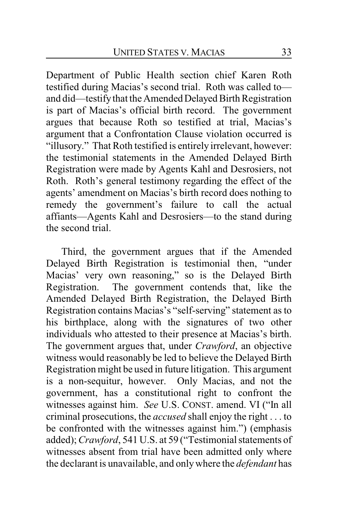Department of Public Health section chief Karen Roth testified during Macias's second trial. Roth was called to and did—testify that the Amended Delayed Birth Registration is part of Macias's official birth record. The government argues that because Roth so testified at trial, Macias's argument that a Confrontation Clause violation occurred is "illusory." That Roth testified is entirely irrelevant, however: the testimonial statements in the Amended Delayed Birth Registration were made by Agents Kahl and Desrosiers, not Roth. Roth's general testimony regarding the effect of the agents' amendment on Macias's birth record does nothing to remedy the government's failure to call the actual affiants—Agents Kahl and Desrosiers—to the stand during the second trial.

Third, the government argues that if the Amended Delayed Birth Registration is testimonial then, "under Macias' very own reasoning," so is the Delayed Birth Registration. The government contends that, like the Amended Delayed Birth Registration, the Delayed Birth Registration contains Macias's "self-serving" statement as to his birthplace, along with the signatures of two other individuals who attested to their presence at Macias's birth. The government argues that, under *Crawford*, an objective witness would reasonably be led to believe the Delayed Birth Registration might be used in future litigation. This argument is a non-sequitur, however. Only Macias, and not the government, has a constitutional right to confront the witnesses against him. *See* U.S. CONST. amend. VI ("In all criminal prosecutions, the *accused* shall enjoy the right . . . to be confronted with the witnesses against him.") (emphasis added); *Crawford*, 541 U.S. at 59 ("Testimonial statements of witnesses absent from trial have been admitted only where the declarant is unavailable, and onlywhere the *defendant* has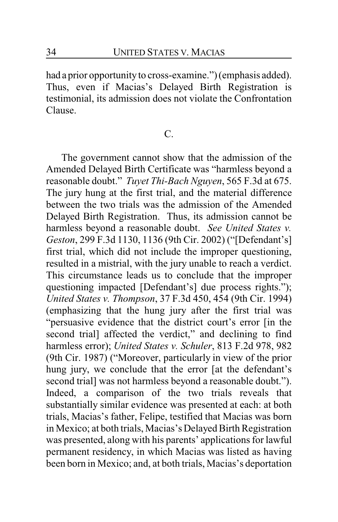had a prior opportunity to cross-examine.") (emphasis added). Thus, even if Macias's Delayed Birth Registration is testimonial, its admission does not violate the Confrontation Clause.

#### C.

The government cannot show that the admission of the Amended Delayed Birth Certificate was "harmless beyond a reasonable doubt." *Tuyet Thi-Bach Nguyen*, 565 F.3d at 675. The jury hung at the first trial, and the material difference between the two trials was the admission of the Amended Delayed Birth Registration. Thus, its admission cannot be harmless beyond a reasonable doubt. *See United States v. Geston*, 299 F.3d 1130, 1136 (9th Cir. 2002) ("[Defendant's] first trial, which did not include the improper questioning, resulted in a mistrial, with the jury unable to reach a verdict. This circumstance leads us to conclude that the improper questioning impacted [Defendant's] due process rights."); *United States v. Thompson*, 37 F.3d 450, 454 (9th Cir. 1994) (emphasizing that the hung jury after the first trial was "persuasive evidence that the district court's error [in the second trial] affected the verdict," and declining to find harmless error); *United States v. Schuler*, 813 F.2d 978, 982 (9th Cir. 1987) ("Moreover, particularly in view of the prior hung jury, we conclude that the error [at the defendant's second trial] was not harmless beyond a reasonable doubt."). Indeed, a comparison of the two trials reveals that substantially similar evidence was presented at each: at both trials, Macias's father, Felipe, testified that Macias was born in Mexico; at both trials, Macias's Delayed Birth Registration was presented, along with his parents' applications for lawful permanent residency, in which Macias was listed as having been born in Mexico; and, at both trials, Macias's deportation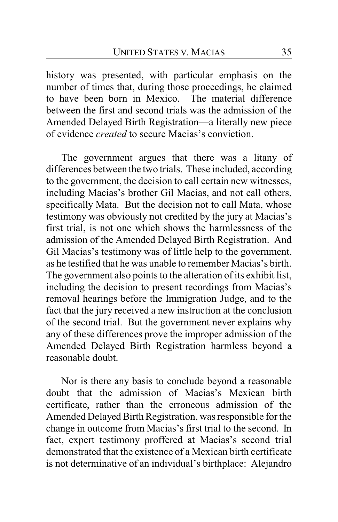history was presented, with particular emphasis on the number of times that, during those proceedings, he claimed to have been born in Mexico. The material difference between the first and second trials was the admission of the Amended Delayed Birth Registration—a literally new piece of evidence *created* to secure Macias's conviction.

The government argues that there was a litany of differences between the two trials. These included, according to the government, the decision to call certain new witnesses, including Macias's brother Gil Macias, and not call others, specifically Mata. But the decision not to call Mata, whose testimony was obviously not credited by the jury at Macias's first trial, is not one which shows the harmlessness of the admission of the Amended Delayed Birth Registration. And Gil Macias's testimony was of little help to the government, as he testified that he was unable to remember Macias's birth. The government also points to the alteration of its exhibit list, including the decision to present recordings from Macias's removal hearings before the Immigration Judge, and to the fact that the jury received a new instruction at the conclusion of the second trial. But the government never explains why any of these differences prove the improper admission of the Amended Delayed Birth Registration harmless beyond a reasonable doubt.

Nor is there any basis to conclude beyond a reasonable doubt that the admission of Macias's Mexican birth certificate, rather than the erroneous admission of the Amended Delayed Birth Registration, was responsible for the change in outcome from Macias's first trial to the second. In fact, expert testimony proffered at Macias's second trial demonstrated that the existence of a Mexican birth certificate is not determinative of an individual's birthplace: Alejandro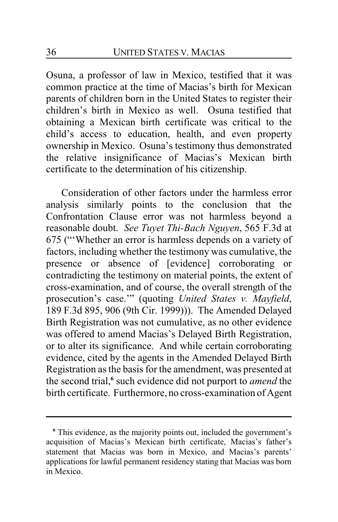Osuna, a professor of law in Mexico, testified that it was common practice at the time of Macias's birth for Mexican parents of children born in the United States to register their children's birth in Mexico as well. Osuna testified that obtaining a Mexican birth certificate was critical to the child's access to education, health, and even property ownership in Mexico. Osuna's testimony thus demonstrated the relative insignificance of Macias's Mexican birth certificate to the determination of his citizenship.

Consideration of other factors under the harmless error analysis similarly points to the conclusion that the Confrontation Clause error was not harmless beyond a reasonable doubt. *See Tuyet Thi-Bach Nguyen*, 565 F.3d at 675 ("'Whether an error is harmless depends on a variety of factors, including whether the testimony was cumulative, the presence or absence of [evidence] corroborating or contradicting the testimony on material points, the extent of cross-examination, and of course, the overall strength of the prosecution's case.'" (quoting *United States v. Mayfield*, 189 F.3d 895, 906 (9th Cir. 1999))). The Amended Delayed Birth Registration was not cumulative, as no other evidence was offered to amend Macias's Delayed Birth Registration, or to alter its significance. And while certain corroborating evidence, cited by the agents in the Amended Delayed Birth Registration as the basis for the amendment, was presented at the second trial,**<sup>6</sup>** such evidence did not purport to *amend* the birth certificate. Furthermore, no cross-examination of Agent

**<sup>6</sup>** This evidence, as the majority points out, included the government's acquisition of Macias's Mexican birth certificate, Macias's father's statement that Macias was born in Mexico, and Macias's parents' applications for lawful permanent residency stating that Macias was born in Mexico.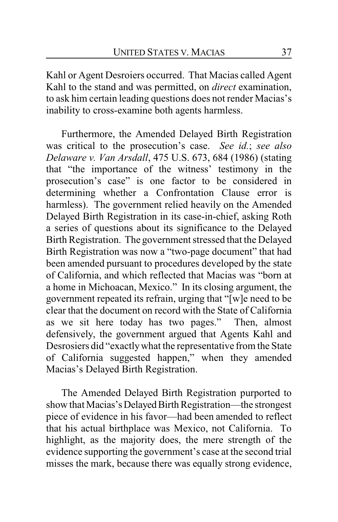Kahl or Agent Desroiers occurred. That Macias called Agent Kahl to the stand and was permitted, on *direct* examination, to ask him certain leading questions does not render Macias's inability to cross-examine both agents harmless.

Furthermore, the Amended Delayed Birth Registration was critical to the prosecution's case. *See id.*; *see also Delaware v. Van Arsdall*, 475 U.S. 673, 684 (1986) (stating that "the importance of the witness' testimony in the prosecution's case" is one factor to be considered in determining whether a Confrontation Clause error is harmless). The government relied heavily on the Amended Delayed Birth Registration in its case-in-chief, asking Roth a series of questions about its significance to the Delayed Birth Registration. The government stressed that the Delayed Birth Registration was now a "two-page document" that had been amended pursuant to procedures developed by the state of California, and which reflected that Macias was "born at a home in Michoacan, Mexico." In its closing argument, the government repeated its refrain, urging that "[w]e need to be clear that the document on record with the State of California as we sit here today has two pages." Then, almost defensively, the government argued that Agents Kahl and Desrosiers did "exactlywhat the representative from the State of California suggested happen," when they amended Macias's Delayed Birth Registration.

The Amended Delayed Birth Registration purported to show that Macias's Delayed Birth Registration—the strongest piece of evidence in his favor—had been amended to reflect that his actual birthplace was Mexico, not California. To highlight, as the majority does, the mere strength of the evidence supporting the government's case at the second trial misses the mark, because there was equally strong evidence,